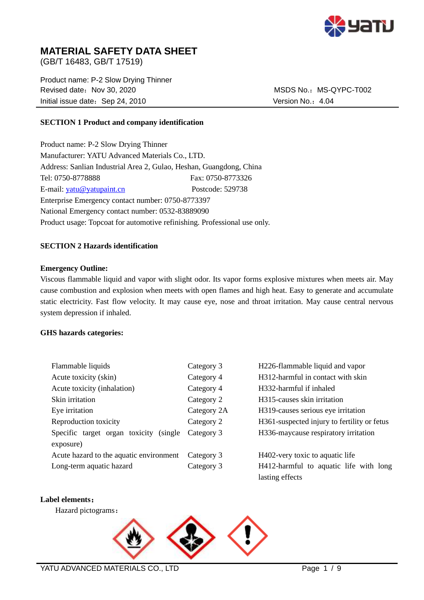

# **MATERIAL SAFETY DATA SHEET**

(GB/T 16483, GB/T 17519)

Product name: P-2 Slow Drying Thinner Revised date: Nov 30, 2020 MSDS No.: MS-QYPC-T002 Initial issue date: Sep 24, 2010 Version No.: 4.04

# **SECTION 1 Product and company identification**

Product name: P-2 Slow Drying Thinner Manufacturer: YATU Advanced Materials Co., LTD. Address: Sanlian Industrial Area 2, Gulao, Heshan, Guangdong, China Tel: 0750-8778888 Fax: 0750-8773326 E-mail: [yatu@yatupaint.cn](mailto:yatu@yatupaint.com) Postcode: 529738 Enterprise Emergency contact number: 0750-8773397 National Emergency contact number: 0532-83889090 Product usage: Topcoat for automotive refinishing. Professional use only.

## **SECTION 2 Hazards identification**

## **Emergency Outline:**

Viscous flammable liquid and vapor with slight odor. Its vapor forms explosive mixtures when meets air. May cause combustion and explosion when meets with open flames and high heat. Easy to generate and accumulate static electricity. Fast flow velocity. It may cause eye, nose and throat irritation. May cause central nervous system depression if inhaled.

## **GHS hazards categories:**

| Flammable liquids                          | Category 3  | H226-flammable liquid and vapor             |
|--------------------------------------------|-------------|---------------------------------------------|
| Acute toxicity (skin)                      | Category 4  | H312-harmful in contact with skin           |
| Acute toxicity (inhalation)                | Category 4  | H332-harmful if inhaled                     |
| Skin irritation                            | Category 2  | H <sub>3</sub> 15-causes skin irritation    |
| Eye irritation                             | Category 2A | H319-causes serious eye irritation          |
| Reproduction toxicity                      | Category 2  | H361-suspected injury to fertility or fetus |
| Specific target organ toxicity<br>(single) | Category 3  | H336-maycause respiratory irritation        |
| exposure)                                  |             |                                             |
| Acute hazard to the aquatic environment    | Category 3  | H402-very toxic to aquatic life             |
| Long-term aquatic hazard                   | Category 3  | H412-harmful to aquatic life with long      |
|                                            |             | lasting effects                             |

## **Label elements**:

Hazard pictograms:

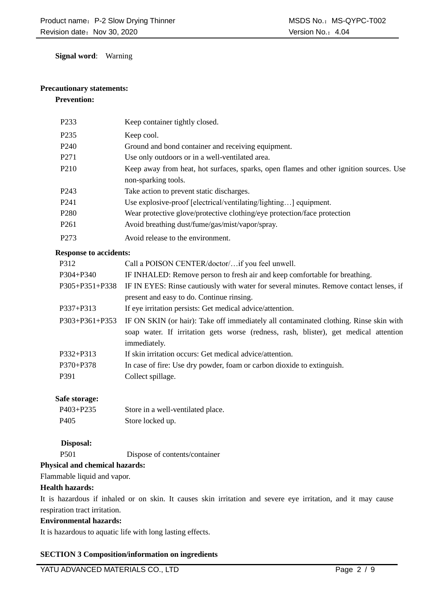**Signal word**: Warning

# **Precautionary statements:**

# **Prevention:**

| P <sub>2</sub> 33 | Keep container tightly closed.                                                                                |
|-------------------|---------------------------------------------------------------------------------------------------------------|
| P <sub>235</sub>  | Keep cool.                                                                                                    |
| P <sub>240</sub>  | Ground and bond container and receiving equipment.                                                            |
| P271              | Use only outdoors or in a well-ventilated area.                                                               |
| P <sub>210</sub>  | Keep away from heat, hot surfaces, sparks, open flames and other ignition sources. Use<br>non-sparking tools. |
| P <sub>243</sub>  | Take action to prevent static discharges.                                                                     |
| P <sub>241</sub>  | Use explosive-proof [electrical/ventilating/lighting] equipment.                                              |
| P <sub>280</sub>  | Wear protective glove/protective clothing/eye protection/face protection                                      |
| P <sub>261</sub>  | Avoid breathing dust/fume/gas/mist/vapor/spray.                                                               |
| P <sub>273</sub>  | Avoid release to the environment.                                                                             |

#### **Response to accidents:**

| P312           | Call a POISON CENTER/doctor/if you feel unwell.                                        |
|----------------|----------------------------------------------------------------------------------------|
| P304+P340      | IF INHALED: Remove person to fresh air and keep comfortable for breathing.             |
| P305+P351+P338 | IF IN EYES: Rinse cautiously with water for several minutes. Remove contact lenses, if |
|                | present and easy to do. Continue rinsing.                                              |
| P337+P313      | If eye irritation persists: Get medical advice/attention.                              |
| P303+P361+P353 | IF ON SKIN (or hair): Take off immediately all contaminated clothing. Rinse skin with  |
|                | soap water. If irritation gets worse (redness, rash, blister), get medical attention   |
|                | immediately.                                                                           |
| P332+P313      | If skin irritation occurs: Get medical advice/attention.                               |
| $P370 + P378$  | In case of fire: Use dry powder, foam or carbon dioxide to extinguish.                 |
| P391           | Collect spillage.                                                                      |
|                |                                                                                        |

## **Safe storage:**

| $P403 + P235$    | Store in a well-ventilated place. |
|------------------|-----------------------------------|
| P <sub>405</sub> | Store locked up.                  |

# **Disposal:**

P501 Dispose of contents/container

# **Physical and chemical hazards:**

Flammable liquid and vapor.

# **Health hazards:**

It is hazardous if inhaled or on skin. It causes skin irritation and severe eye irritation, and it may cause respiration tract irritation.

## **Environmental hazards:**

It is hazardous to aquatic life with long lasting effects.

# **SECTION 3 Composition/information on ingredients**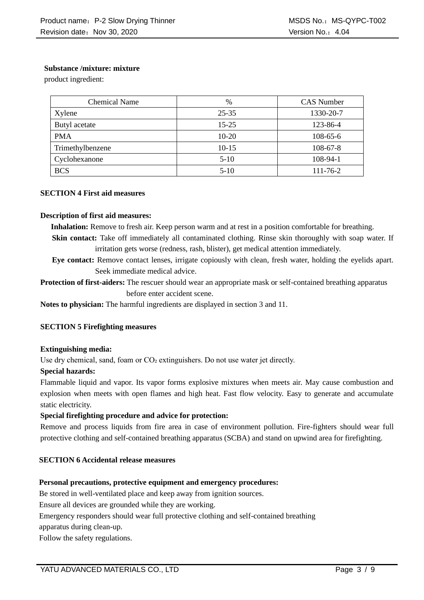# **Substance /mixture: mixture**

product ingredient:

| <b>Chemical Name</b> | $\%$      | <b>CAS Number</b> |
|----------------------|-----------|-------------------|
| Xylene               | $25 - 35$ | 1330-20-7         |
| Butyl acetate        | $15 - 25$ | 123-86-4          |
| <b>PMA</b>           | $10-20$   | $108-65-6$        |
| Trimethylbenzene     | $10-15$   | $108 - 67 - 8$    |
| Cyclohexanone        | $5-10$    | 108-94-1          |
| <b>BCS</b>           | $5-10$    | $111 - 76 - 2$    |

## **SECTION 4 First aid measures**

## **Description of first aid measures:**

**Inhalation:** Remove to fresh air. Keep person warm and at rest in a position comfortable for breathing.

**Skin contact:** Take off immediately all contaminated clothing. Rinse skin thoroughly with soap water. If irritation gets worse (redness, rash, blister), get medical attention immediately.

**Eye contact:** Remove contact lenses, irrigate copiously with clean, fresh water, holding the eyelids apart. Seek immediate medical advice.

**Protection of first-aiders:** The rescuer should wear an appropriate mask or self-contained breathing apparatus before enter accident scene.

**Notes to physician:** The harmful ingredients are displayed in section 3 and 11.

## **SECTION 5 Firefighting measures**

## **Extinguishing media:**

Use dry chemical, sand, foam or  $CO<sub>2</sub>$  extinguishers. Do not use water jet directly.

## **Special hazards:**

Flammable liquid and vapor. Its vapor forms explosive mixtures when meets air. May cause combustion and explosion when meets with open flames and high heat. Fast flow velocity. Easy to generate and accumulate static electricity.

## **Special firefighting procedure and advice for protection:**

Remove and process liquids from fire area in case of environment pollution. Fire-fighters should wear full protective clothing and self-contained breathing apparatus (SCBA) and stand on upwind area for firefighting.

# **SECTION 6 Accidental release measures**

# **Personal precautions, protective equipment and emergency procedures:**

Be stored in well-ventilated place and keep away from ignition sources.

Ensure all devices are grounded while they are working.

Emergency responders should wear full protective clothing and self-contained breathing

apparatus during clean-up.

Follow the safety regulations.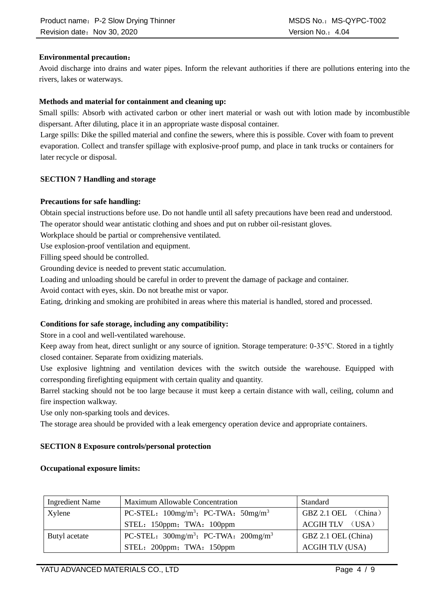# **Environmental precaution**:

Avoid discharge into drains and water pipes. Inform the relevant authorities if there are pollutions entering into the rivers, lakes or waterways.

# **Methods and material for containment and cleaning up:**

Small spills: Absorb with activated carbon or other inert material or wash out with lotion made by incombustible dispersant. After diluting, place it in an appropriate waste disposal container.

Large spills: Dike the spilled material and confine the sewers, where this is possible. Cover with foam to prevent evaporation. Collect and transfer spillage with explosive-proof pump, and place in tank trucks or containers for later recycle or disposal.

# **SECTION 7 Handling and storage**

# **Precautions for safe handling:**

Obtain special instructions before use. Do not handle until all safety precautions have been read and understood. The operator should wear antistatic clothing and shoes and put on rubber oil-resistant gloves.

Workplace should be partial or comprehensive ventilated.

Use explosion-proof ventilation and equipment.

Filling speed should be controlled.

Grounding device is needed to prevent static accumulation.

Loading and unloading should be careful in order to prevent the damage of package and container.

Avoid contact with eyes, skin. Do not breathe mist or vapor.

Eating, drinking and smoking are prohibited in areas where this material is handled, stored and processed.

# **Conditions for safe storage, including any compatibility:**

Store in a cool and well-ventilated warehouse.

Keep away from heat, direct sunlight or any source of ignition. Storage temperature: 0-35℃. Stored in a tightly closed container. Separate from oxidizing materials.

Use explosive lightning and ventilation devices with the switch outside the warehouse. Equipped with corresponding firefighting equipment with certain quality and quantity.

Barrel stacking should not be too large because it must keep a certain distance with wall, ceiling, column and fire inspection walkway.

Use only non-sparking tools and devices.

The storage area should be provided with a leak emergency operation device and appropriate containers.

# **SECTION 8 Exposure controls/personal protection**

## **Occupational exposure limits:**

| <b>Ingredient Name</b> | Maximum Allowable Concentration                                    | Standard               |
|------------------------|--------------------------------------------------------------------|------------------------|
| Xylene                 | PC-STEL: $100$ mg/m <sup>3</sup> ; PC-TWA: $50$ mg/m <sup>3</sup>  | GBZ 2.1 OEL (China)    |
|                        | STEL: 150ppm; TWA: 100ppm                                          | $ACGIH TLV$ (USA)      |
| Butyl acetate          | PC-STEL: $300$ mg/m <sup>3</sup> ; PC-TWA: $200$ mg/m <sup>3</sup> | GBZ 2.1 OEL (China)    |
|                        | STEL: 200ppm; TWA: 150ppm                                          | <b>ACGIH TLV (USA)</b> |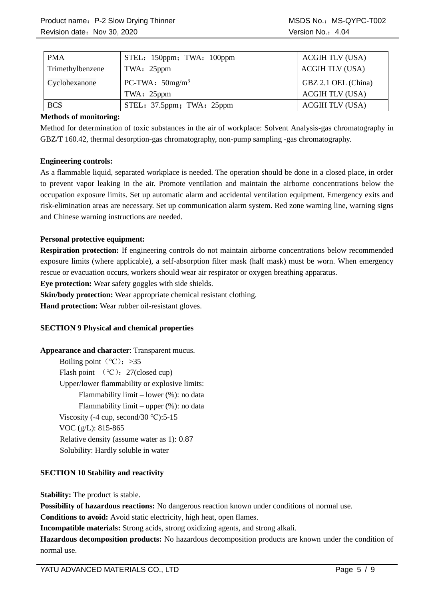| <b>PMA</b>       | STEL: 150ppm; TWA: 100ppm | <b>ACGIH TLV (USA)</b> |
|------------------|---------------------------|------------------------|
| Trimethylbenzene | TWA: 25ppm                | <b>ACGIH TLV (USA)</b> |
| Cyclohexanone    | PC-TWA: $50mg/m^3$        | GBZ 2.1 OEL (China)    |
|                  | TWA: 25ppm                | <b>ACGIH TLV (USA)</b> |
| <b>BCS</b>       | STEL: 37.5ppm; TWA: 25ppm | <b>ACGIH TLV (USA)</b> |

## **Methods of monitoring:**

Method for determination of toxic substances in the air of workplace: Solvent Analysis-gas chromatography in GBZ/T 160.42, thermal desorption-gas chromatography, non-pump sampling -gas chromatography.

## **Engineering controls:**

As a flammable liquid, separated workplace is needed. The operation should be done in a closed place, in order to prevent vapor leaking in the air. Promote ventilation and maintain the airborne concentrations below the occupation exposure limits. Set up automatic alarm and accidental ventilation equipment. Emergency exits and risk-elimination areas are necessary. Set up communication alarm system. Red zone warning line, warning signs and Chinese warning instructions are needed.

## **Personal protective equipment:**

**Respiration protection:** If engineering controls do not maintain airborne concentrations below recommended exposure limits (where applicable), a self-absorption filter mask (half mask) must be worn. When emergency rescue or evacuation occurs, workers should wear air respirator or oxygen breathing apparatus.

**Eye protection:** Wear safety goggles with side shields.

**Skin/body protection:** Wear appropriate chemical resistant clothing.

**Hand protection:** Wear rubber oil-resistant gloves.

## **SECTION 9 Physical and chemical properties**

## **Appearance and character**: Transparent mucus.

Boiling point ( $°C$ ): >35 Flash point  $(°C)$ : 27(closed cup) Upper/lower flammability or explosive limits: Flammability limit – lower (%): no data Flammability limit – upper (%): no data Viscosity (-4 cup, second/30  $°C$ ):5-15 VOC (g/L): 815-865 Relative density (assume water as 1): 0.87 Solubility: Hardly soluble in water

# **SECTION 10 Stability and reactivity**

**Stability:** The product is stable.

**Possibility of hazardous reactions:** No dangerous reaction known under conditions of normal use.

**Conditions to avoid:** Avoid static electricity, high heat, open flames.

**Incompatible materials:** Strong acids, strong oxidizing agents, and strong alkali.

**Hazardous decomposition products:** No hazardous decomposition products are known under the condition of normal use.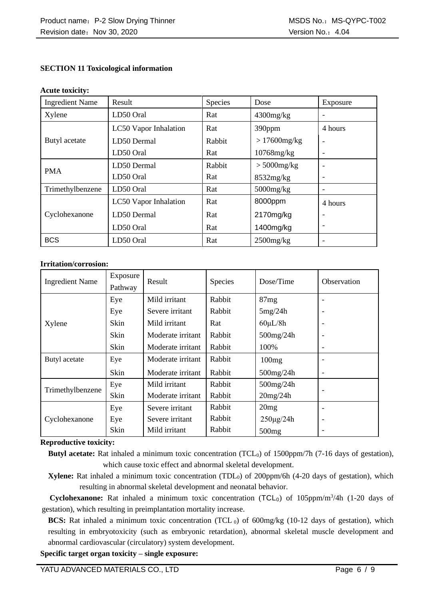# **SECTION 11 Toxicological information**

#### **Acute toxicity:**

| <b>Ingredient Name</b> | Result                       | Species | Dose            | Exposure |
|------------------------|------------------------------|---------|-----------------|----------|
| Xylene                 | LD50 Oral                    | Rat     | $4300$ mg/kg    |          |
|                        | LC50 Vapor Inhalation        | Rat     | 390ppm          | 4 hours  |
| Butyl acetate          | LD50 Dermal                  | Rabbit  | $>17600$ mg/kg  |          |
|                        | LD50 Oral                    | Rat     | $10768$ mg/kg   |          |
| <b>PMA</b>             | LD50 Dermal                  | Rabbit  | $> 5000$ mg/kg  |          |
|                        | LD50 Oral                    | Rat     | 8532mg/kg       |          |
| Trimethylbenzene       | LD50 Oral                    | Rat     | $5000$ mg/ $kg$ |          |
|                        | <b>LC50 Vapor Inhalation</b> | Rat     | 8000ppm         | 4 hours  |
| Cyclohexanone          | LD50 Dermal                  | Rat     | 2170mg/kg       |          |
|                        | LD50 Oral                    | Rat     | 1400mg/kg       |          |
| <b>BCS</b>             | LD50 Oral                    | Rat     | $2500$ mg/kg    |          |

## **Irritation/corrosion:**

| <b>Ingredient Name</b> | Exposure<br>Pathway | Result            | <b>Species</b> | Dose/Time         | Observation              |
|------------------------|---------------------|-------------------|----------------|-------------------|--------------------------|
|                        | Eye                 | Mild irritant     | Rabbit         | 87mg              |                          |
|                        | Eye                 | Severe irritant   | Rabbit         | 5mg/24h           | $\overline{\phantom{a}}$ |
| Xylene                 | Skin                | Mild irritant     | Rat            | $60 \mu L/8h$     | $\overline{\phantom{a}}$ |
|                        | Skin                | Moderate irritant | Rabbit         | $500$ mg/24h      | $\overline{\phantom{a}}$ |
|                        | Skin                | Moderate irritant | Rabbit         | 100%              | $\overline{\phantom{a}}$ |
| Butyl acetate          | Eye                 | Moderate irritant | Rabbit         | 100mg             | $\overline{\phantom{a}}$ |
|                        | Skin                | Moderate irritant | Rabbit         | $500$ mg/24h      | $\overline{\phantom{a}}$ |
| Trimethylbenzene       | Eye                 | Mild irritant     | Rabbit         | 500mg/24h         |                          |
|                        | Skin                | Moderate irritant | Rabbit         | 20mg/24h          | $\overline{\phantom{a}}$ |
|                        | Eye                 | Severe irritant   | Rabbit         | 20mg              | $\overline{\phantom{a}}$ |
| Cyclohexanone          | Eye                 | Severe irritant   | Rabbit         | $250 \mu g / 24h$ | ۰                        |
|                        | Skin                | Mild irritant     | Rabbit         | 500mg             | ۰                        |

## **Reproductive toxicity:**

- **Butyl acetate:** Rat inhaled a minimum toxic concentration (TCL<sub>0</sub>) of 1500ppm/7h (7-16 days of gestation), which cause toxic effect and abnormal skeletal development.
- **Xylene:** Rat inhaled a minimum toxic concentration (TDL<sub>0</sub>) of 200ppm/6h (4-20 days of gestation), which resulting in abnormal skeletal development and neonatal behavior.

Cyclohexanone: Rat inhaled a minimum toxic concentration (TCL<sub>0</sub>) of 105ppm/m<sup>3</sup>/4h (1-20 days of gestation), which resulting in preimplantation mortality increase.

**BCS:** Rat inhaled a minimum toxic concentration (TCL 0) of 600mg/kg (10-12 days of gestation), which resulting in embryotoxicity (such as embryonic retardation), abnormal skeletal muscle development and abnormal cardiovascular (circulatory) system development.

**Specific target organ toxicity – single exposure:**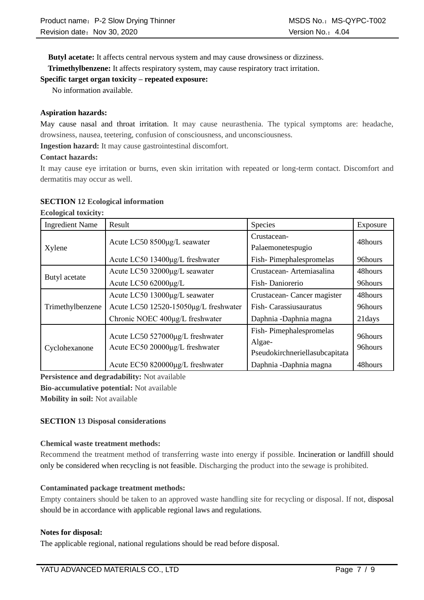**Butyl acetate:** It affects central nervous system and may cause drowsiness or dizziness.

**[Trimethylbenzene:](file:///C:/Users/yatu/AppData/Local/youdao/dict/Application/8.5.3.0/resultui/html/index.html#/javascript:;)** It affects respiratory system, may cause respiratory tract irritation.

# **Specific target organ toxicity – repeated exposure:**

No information available.

## **Aspiration hazards:**

May cause nasal and throat irritation. It may cause neurasthenia. The typical symptoms are: headache, drowsiness, nausea, teetering, confusion of consciousness, and unconsciousness.

**Ingestion hazard:** It may cause gastrointestinal discomfort.

## **Contact hazards:**

It may cause eye irritation or burns, even skin irritation with repeated or long-term contact. Discomfort and dermatitis may occur as well.

## **SECTION 12 Ecological information**

**Ecological toxicity:**

| <b>Ingredient Name</b> | Result                                | Species                        | Exposure |  |
|------------------------|---------------------------------------|--------------------------------|----------|--|
|                        | Acute LC50 8500µg/L seawater          | Crustacean-                    | 48hours  |  |
| Xylene                 |                                       | Palaemonetespugio              |          |  |
|                        | Acute LC50 13400μg/L freshwater       | Fish-Pimephalespromelas        | 96hours  |  |
| Butyl acetate          | Acute LC50 32000µg/L seawater         | Crustacean-Artemiasalina       | 48hours  |  |
|                        | Acute LC50 62000µg/L                  | Fish-Daniorerio                | 96hours  |  |
| Trimethylbenzene       | Acute LC50 13000µg/L seawater         | Crustacean-Cancer magister     | 48hours  |  |
|                        | Acute LC50 12520-15050µg/L freshwater | Fish-Carassius auratus         | 96hours  |  |
|                        | Chronic NOEC 400µg/L freshwater       | Daphnia - Daphnia magna        | 21 days  |  |
|                        | Acute LC50 527000μg/L freshwater      | Fish-Pimephalespromelas        | 96hours  |  |
| Cyclohexanone          | Acute EC50 20000μg/L freshwater       | Algae-                         | 96hours  |  |
|                        |                                       | Pseudokirchneriellasubcapitata |          |  |
|                        | Acute EC50 820000μg/L freshwater      | Daphnia -Daphnia magna         | 48hours  |  |

**Persistence and degradability:** Not available

**Bio-accumulative potential:** Not available

**Mobility in soil:** Not available

# **SECTION 13 Disposal considerations**

## **Chemical waste treatment methods:**

Recommend the treatment method of transferring waste into energy if possible. Incineration or landfill should only be considered when recycling is not feasible. Discharging the product into the sewage is prohibited.

## **Contaminated package treatment methods:**

Empty containers should be taken to an approved waste handling site for recycling or disposal. If not, disposal should be in accordance with applicable regional laws and regulations.

## **Notes for disposal:**

The applicable regional, national regulations should be read before disposal.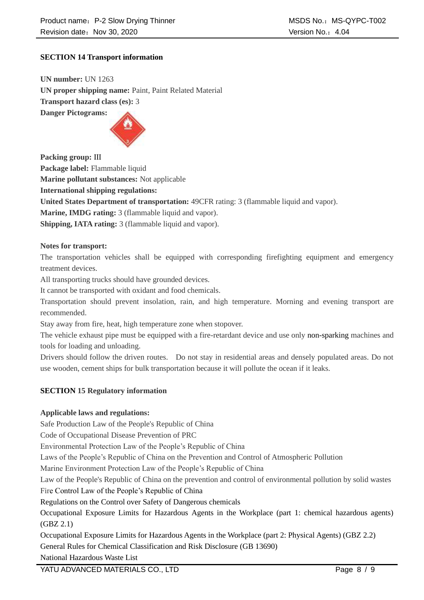# **SECTION 14 Transport information**

**UN number:** UN 1263 **UN proper shipping name:** Paint, Paint Related Material **Transport hazard class (es):** 3 **Danger Pictograms:** 



**Packing group:** Ⅲ

**Package label:** Flammable liquid

**Marine pollutant substances:** Not applicable

**International shipping regulations:** 

**United States Department of transportation:** 49CFR rating: 3 (flammable liquid and vapor).

**Marine, IMDG rating:** 3 (flammable liquid and vapor).

**Shipping, IATA rating:** 3 (flammable liquid and vapor).

## **Notes for transport:**

The transportation vehicles shall be equipped with corresponding firefighting equipment and emergency treatment devices.

All transporting trucks should have grounded devices.

It cannot be transported with oxidant and food chemicals.

Transportation should prevent insolation, rain, and high temperature. Morning and evening transport are recommended.

Stay away from fire, heat, high temperature zone when stopover.

The vehicle exhaust pipe must be equipped with a fire-retardant device and use only non-sparking machines and tools for loading and unloading.

Drivers should follow the driven routes. Do not stay in residential areas and densely populated areas. Do not use wooden, cement ships for bulk transportation because it will pollute the ocean if it leaks.

# **SECTION 15 Regulatory information**

## **Applicable laws and regulations:**

Safe Production Law of the People's Republic of China

Code of Occupational Disease Prevention of PRC

Environmental Protection Law of the People's Republic of China

Laws of the People's Republic of China on the Prevention and Control of Atmospheric Pollution

Marine Environment Protection Law of the People's Republic of China

Law of the People's Republic of China on the prevention and control of environmental pollution by solid wastes Fire Control Law of the People's Republic of China

Regulations on the Control over Safety of Dangerous chemicals

Occupational Exposure Limits for Hazardous Agents in the Workplace (part 1: chemical hazardous agents) (GBZ 2.1)

Occupational Exposure Limits for Hazardous Agents in the Workplace (part 2: Physical Agents) (GBZ 2.2) General Rules for Chemical Classification and Risk Disclosure (GB 13690)

National Hazardous Waste List